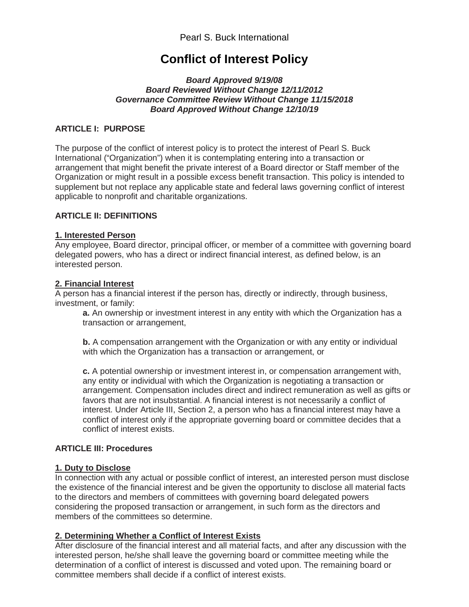# **Conflict of Interest Policy**

#### *Board Approved 9/19/08 Board Reviewed Without Change 12/11/2012 Governance Committee Review Without Change 11/15/2018 Board Approved Without Change 12/10/19*

## **ARTICLE I: PURPOSE**

The purpose of the conflict of interest policy is to protect the interest of Pearl S. Buck International ("Organization") when it is contemplating entering into a transaction or arrangement that might benefit the private interest of a Board director or Staff member of the Organization or might result in a possible excess benefit transaction. This policy is intended to supplement but not replace any applicable state and federal laws governing conflict of interest applicable to nonprofit and charitable organizations.

### **ARTICLE II: DEFINITIONS**

#### **1. Interested Person**

Any employee, Board director, principal officer, or member of a committee with governing board delegated powers, who has a direct or indirect financial interest, as defined below, is an interested person.

### **2. Financial Interest**

A person has a financial interest if the person has, directly or indirectly, through business, investment, or family:

**a.** An ownership or investment interest in any entity with which the Organization has a transaction or arrangement,

**b.** A compensation arrangement with the Organization or with any entity or individual with which the Organization has a transaction or arrangement, or

**c.** A potential ownership or investment interest in, or compensation arrangement with, any entity or individual with which the Organization is negotiating a transaction or arrangement. Compensation includes direct and indirect remuneration as well as gifts or favors that are not insubstantial. A financial interest is not necessarily a conflict of interest. Under Article III, Section 2, a person who has a financial interest may have a conflict of interest only if the appropriate governing board or committee decides that a conflict of interest exists.

## **ARTICLE III: Procedures**

#### **1. Duty to Disclose**

In connection with any actual or possible conflict of interest, an interested person must disclose the existence of the financial interest and be given the opportunity to disclose all material facts to the directors and members of committees with governing board delegated powers considering the proposed transaction or arrangement, in such form as the directors and members of the committees so determine.

## **2. Determining Whether a Conflict of Interest Exists**

After disclosure of the financial interest and all material facts, and after any discussion with the interested person, he/she shall leave the governing board or committee meeting while the determination of a conflict of interest is discussed and voted upon. The remaining board or committee members shall decide if a conflict of interest exists.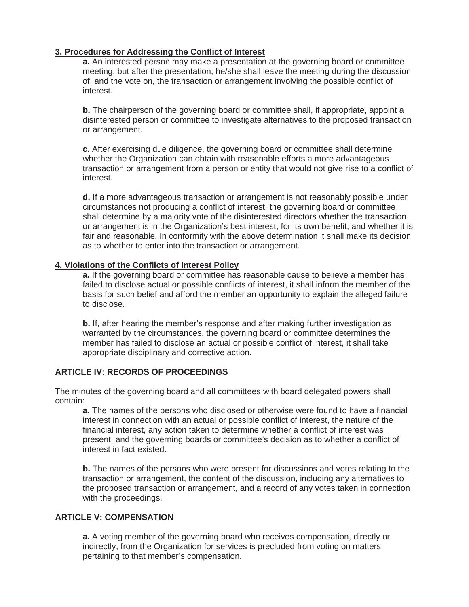## **3. Procedures for Addressing the Conflict of Interest**

**a.** An interested person may make a presentation at the governing board or committee meeting, but after the presentation, he/she shall leave the meeting during the discussion of, and the vote on, the transaction or arrangement involving the possible conflict of interest.

**b.** The chairperson of the governing board or committee shall, if appropriate, appoint a disinterested person or committee to investigate alternatives to the proposed transaction or arrangement.

**c.** After exercising due diligence, the governing board or committee shall determine whether the Organization can obtain with reasonable efforts a more advantageous transaction or arrangement from a person or entity that would not give rise to a conflict of interest.

**d.** If a more advantageous transaction or arrangement is not reasonably possible under circumstances not producing a conflict of interest, the governing board or committee shall determine by a majority vote of the disinterested directors whether the transaction or arrangement is in the Organization's best interest, for its own benefit, and whether it is fair and reasonable. In conformity with the above determination it shall make its decision as to whether to enter into the transaction or arrangement.

#### **4. Violations of the Conflicts of Interest Policy**

**a.** If the governing board or committee has reasonable cause to believe a member has failed to disclose actual or possible conflicts of interest, it shall inform the member of the basis for such belief and afford the member an opportunity to explain the alleged failure to disclose.

**b.** If, after hearing the member's response and after making further investigation as warranted by the circumstances, the governing board or committee determines the member has failed to disclose an actual or possible conflict of interest, it shall take appropriate disciplinary and corrective action.

## **ARTICLE IV: RECORDS OF PROCEEDINGS**

The minutes of the governing board and all committees with board delegated powers shall contain:

**a.** The names of the persons who disclosed or otherwise were found to have a financial interest in connection with an actual or possible conflict of interest, the nature of the financial interest, any action taken to determine whether a conflict of interest was present, and the governing boards or committee's decision as to whether a conflict of interest in fact existed.

**b.** The names of the persons who were present for discussions and votes relating to the transaction or arrangement, the content of the discussion, including any alternatives to the proposed transaction or arrangement, and a record of any votes taken in connection with the proceedings.

#### **ARTICLE V: COMPENSATION**

**a.** A voting member of the governing board who receives compensation, directly or indirectly, from the Organization for services is precluded from voting on matters pertaining to that member's compensation.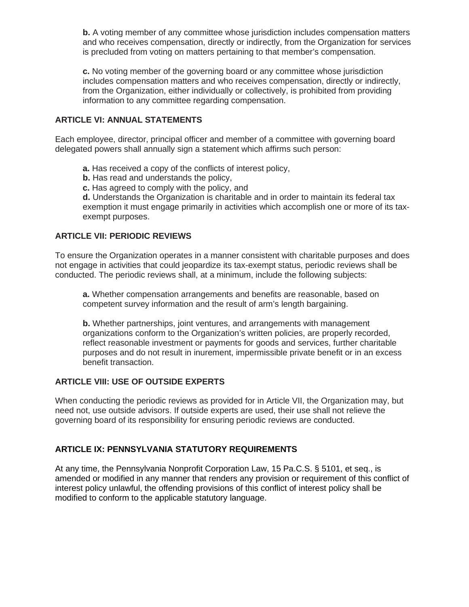**b.** A voting member of any committee whose jurisdiction includes compensation matters and who receives compensation, directly or indirectly, from the Organization for services is precluded from voting on matters pertaining to that member's compensation.

**c.** No voting member of the governing board or any committee whose jurisdiction includes compensation matters and who receives compensation, directly or indirectly, from the Organization, either individually or collectively, is prohibited from providing information to any committee regarding compensation.

## **ARTICLE VI: ANNUAL STATEMENTS**

Each employee, director, principal officer and member of a committee with governing board delegated powers shall annually sign a statement which affirms such person:

- **a.** Has received a copy of the conflicts of interest policy,
- **b.** Has read and understands the policy,
- **c.** Has agreed to comply with the policy, and

**d.** Understands the Organization is charitable and in order to maintain its federal tax exemption it must engage primarily in activities which accomplish one or more of its taxexempt purposes.

## **ARTICLE VII: PERIODIC REVIEWS**

To ensure the Organization operates in a manner consistent with charitable purposes and does not engage in activities that could jeopardize its tax-exempt status, periodic reviews shall be conducted. The periodic reviews shall, at a minimum, include the following subjects:

**a.** Whether compensation arrangements and benefits are reasonable, based on competent survey information and the result of arm's length bargaining.

**b.** Whether partnerships, joint ventures, and arrangements with management organizations conform to the Organization's written policies, are properly recorded, reflect reasonable investment or payments for goods and services, further charitable purposes and do not result in inurement, impermissible private benefit or in an excess benefit transaction.

## **ARTICLE VIII: USE OF OUTSIDE EXPERTS**

When conducting the periodic reviews as provided for in Article VII, the Organization may, but need not, use outside advisors. If outside experts are used, their use shall not relieve the governing board of its responsibility for ensuring periodic reviews are conducted.

## **ARTICLE IX: PENNSYLVANIA STATUTORY REQUIREMENTS**

At any time, the Pennsylvania Nonprofit Corporation Law, 15 Pa.C.S. § 5101, et seq., is amended or modified in any manner that renders any provision or requirement of this conflict of interest policy unlawful, the offending provisions of this conflict of interest policy shall be modified to conform to the applicable statutory language.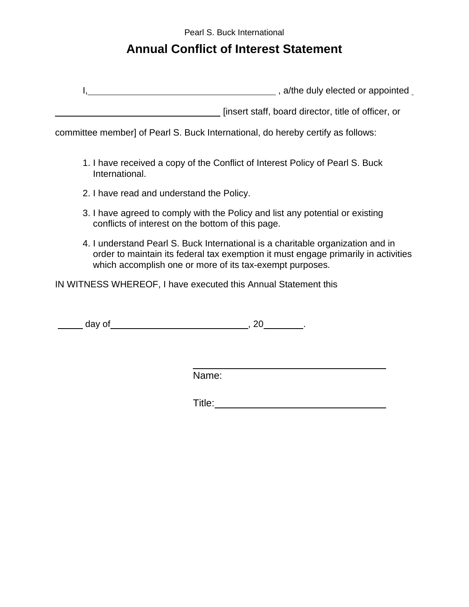Pearl S. Buck International

# **Annual Conflict of Interest Statement**

I, a/the duly elected or appointed

**EXECUTE:** [insert staff, board director, title of officer, or

committee member] of Pearl S. Buck International, do hereby certify as follows:

- 1. I have received a copy of the Conflict of Interest Policy of Pearl S. Buck International.
- 2. I have read and understand the Policy.
- 3. I have agreed to comply with the Policy and list any potential or existing conflicts of interest on the bottom of this page.
- 4. I understand Pearl S. Buck International is a charitable organization and in order to maintain its federal tax exemption it must engage primarily in activities which accomplish one or more of its tax-exempt purposes.

IN WITNESS WHEREOF, I have executed this Annual Statement this

day of , 20 .

Name:

Title: **The Community of the Community of the Community of the Community of the Community of the Community of the Community of the Community of the Community of the Community of the Community of the Community of the Commun**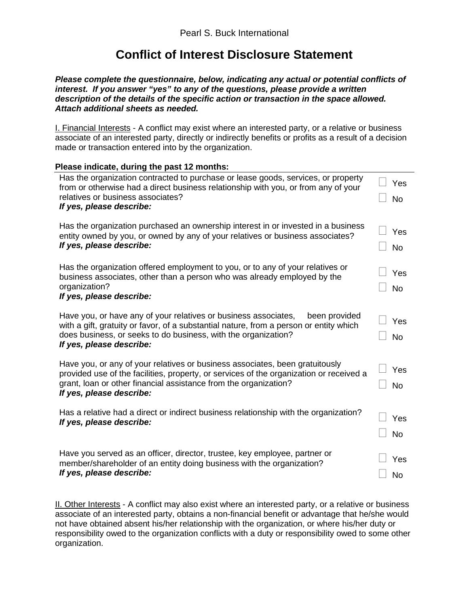# **Conflict of Interest Disclosure Statement**

*Please complete the questionnaire, below, indicating any actual or potential conflicts of interest. If you answer "yes" to any of the questions, please provide a written description of the details of the specific action or transaction in the space allowed. Attach additional sheets as needed.*

I. Financial Interests - A conflict may exist where an interested party, or a relative or business associate of an interested party, directly or indirectly benefits or profits as a result of a decision made or transaction entered into by the organization.

| Please indicate, during the past 12 months:                                                                                                                                                                  |           |
|--------------------------------------------------------------------------------------------------------------------------------------------------------------------------------------------------------------|-----------|
| Has the organization contracted to purchase or lease goods, services, or property<br>from or otherwise had a direct business relationship with you, or from any of your<br>relatives or business associates? | Yes       |
| If yes, please describe:                                                                                                                                                                                     | <b>No</b> |
| Has the organization purchased an ownership interest in or invested in a business<br>entity owned by you, or owned by any of your relatives or business associates?                                          | Yes       |
| If yes, please describe:                                                                                                                                                                                     | <b>No</b> |
| Has the organization offered employment to you, or to any of your relatives or<br>business associates, other than a person who was already employed by the                                                   | Yes       |
| organization?<br>If yes, please describe:                                                                                                                                                                    | <b>No</b> |
| Have you, or have any of your relatives or business associates,<br>been provided<br>with a gift, gratuity or favor, of a substantial nature, from a person or entity which                                   | Yes       |
| does business, or seeks to do business, with the organization?<br>If yes, please describe:                                                                                                                   | <b>No</b> |
| Have you, or any of your relatives or business associates, been gratuitously<br>provided use of the facilities, property, or services of the organization or received a                                      | Yes       |
| grant, loan or other financial assistance from the organization?<br>If yes, please describe:                                                                                                                 | <b>No</b> |
| Has a relative had a direct or indirect business relationship with the organization?<br>If yes, please describe:                                                                                             | Yes       |
|                                                                                                                                                                                                              | <b>No</b> |
| Have you served as an officer, director, trustee, key employee, partner or<br>member/shareholder of an entity doing business with the organization?                                                          | Yes       |
| If yes, please describe:                                                                                                                                                                                     | <b>No</b> |

II. Other Interests - A conflict may also exist where an interested party, or a relative or business associate of an interested party, obtains a non-financial benefit or advantage that he/she would not have obtained absent his/her relationship with the organization, or where his/her duty or responsibility owed to the organization conflicts with a duty or responsibility owed to some other organization.